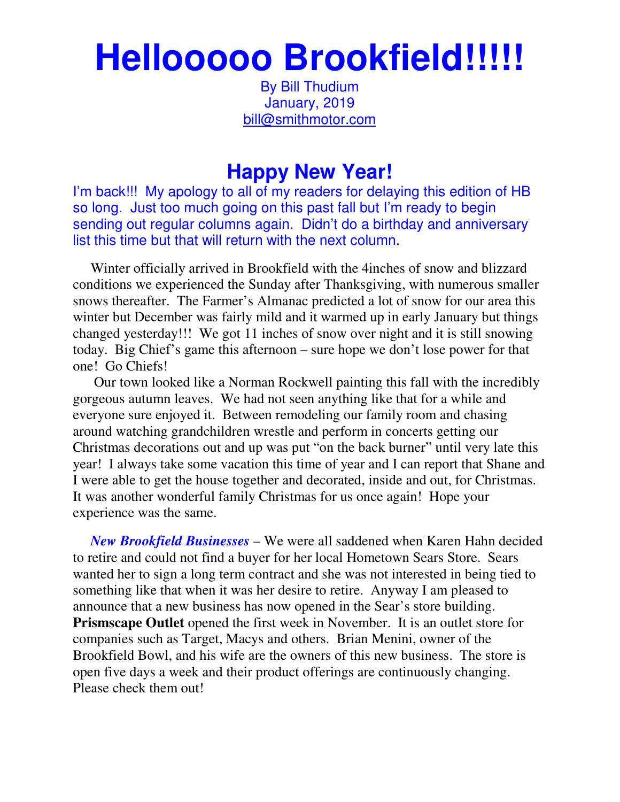## **Hellooooo Brookfield!!!!!**

By Bill Thudium January, 2019 bill@smithmotor.com

## **Happy New Year!**

I'm back!!! My apology to all of my readers for delaying this edition of HB so long. Just too much going on this past fall but I'm ready to begin sending out regular columns again. Didn't do a birthday and anniversary list this time but that will return with the next column.

 Winter officially arrived in Brookfield with the 4inches of snow and blizzard conditions we experienced the Sunday after Thanksgiving, with numerous smaller snows thereafter. The Farmer's Almanac predicted a lot of snow for our area this winter but December was fairly mild and it warmed up in early January but things changed yesterday!!! We got 11 inches of snow over night and it is still snowing today. Big Chief's game this afternoon – sure hope we don't lose power for that one! Go Chiefs!

 Our town looked like a Norman Rockwell painting this fall with the incredibly gorgeous autumn leaves. We had not seen anything like that for a while and everyone sure enjoyed it. Between remodeling our family room and chasing around watching grandchildren wrestle and perform in concerts getting our Christmas decorations out and up was put "on the back burner" until very late this year! I always take some vacation this time of year and I can report that Shane and I were able to get the house together and decorated, inside and out, for Christmas. It was another wonderful family Christmas for us once again! Hope your experience was the same.

 *New Brookfield Businesses* – We were all saddened when Karen Hahn decided to retire and could not find a buyer for her local Hometown Sears Store. Sears wanted her to sign a long term contract and she was not interested in being tied to something like that when it was her desire to retire. Anyway I am pleased to announce that a new business has now opened in the Sear's store building. **Prismscape Outlet** opened the first week in November. It is an outlet store for companies such as Target, Macys and others. Brian Menini, owner of the Brookfield Bowl, and his wife are the owners of this new business. The store is open five days a week and their product offerings are continuously changing. Please check them out!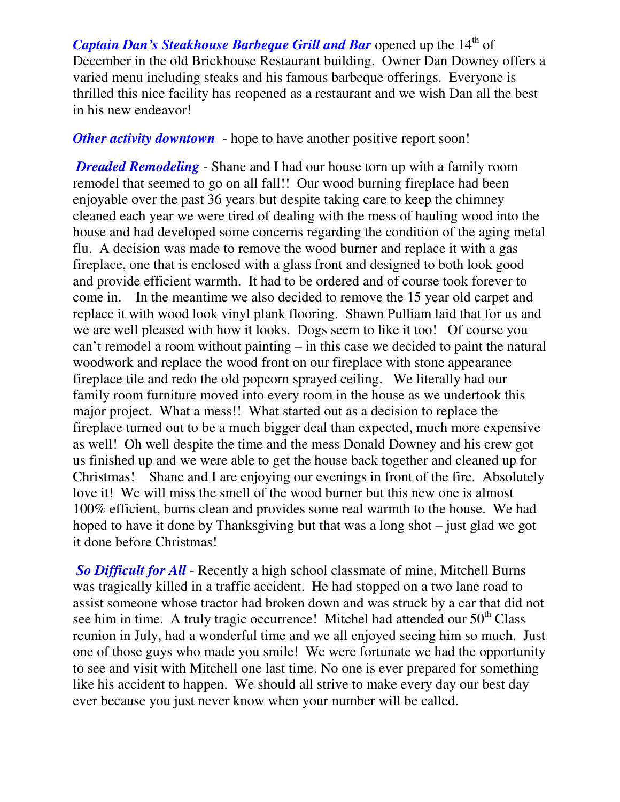*Captain Dan's Steakhouse Barbeque Grill and Bar* opened up the 14<sup>th</sup> of December in the old Brickhouse Restaurant building. Owner Dan Downey offers a varied menu including steaks and his famous barbeque offerings. Everyone is thrilled this nice facility has reopened as a restaurant and we wish Dan all the best in his new endeavor!

*Other activity downtown* - hope to have another positive report soon!

*Dreaded Remodeling* - Shane and I had our house torn up with a family room remodel that seemed to go on all fall!! Our wood burning fireplace had been enjoyable over the past 36 years but despite taking care to keep the chimney cleaned each year we were tired of dealing with the mess of hauling wood into the house and had developed some concerns regarding the condition of the aging metal flu. A decision was made to remove the wood burner and replace it with a gas fireplace, one that is enclosed with a glass front and designed to both look good and provide efficient warmth. It had to be ordered and of course took forever to come in. In the meantime we also decided to remove the 15 year old carpet and replace it with wood look vinyl plank flooring. Shawn Pulliam laid that for us and we are well pleased with how it looks. Dogs seem to like it too! Of course you can't remodel a room without painting – in this case we decided to paint the natural woodwork and replace the wood front on our fireplace with stone appearance fireplace tile and redo the old popcorn sprayed ceiling. We literally had our family room furniture moved into every room in the house as we undertook this major project. What a mess!! What started out as a decision to replace the fireplace turned out to be a much bigger deal than expected, much more expensive as well! Oh well despite the time and the mess Donald Downey and his crew got us finished up and we were able to get the house back together and cleaned up for Christmas! Shane and I are enjoying our evenings in front of the fire. Absolutely love it! We will miss the smell of the wood burner but this new one is almost 100% efficient, burns clean and provides some real warmth to the house. We had hoped to have it done by Thanksgiving but that was a long shot – just glad we got it done before Christmas!

*So Difficult for All* - Recently a high school classmate of mine, Mitchell Burns was tragically killed in a traffic accident. He had stopped on a two lane road to assist someone whose tractor had broken down and was struck by a car that did not see him in time. A truly tragic occurrence! Mitchel had attended our  $50<sup>th</sup> Class$ reunion in July, had a wonderful time and we all enjoyed seeing him so much. Just one of those guys who made you smile! We were fortunate we had the opportunity to see and visit with Mitchell one last time. No one is ever prepared for something like his accident to happen. We should all strive to make every day our best day ever because you just never know when your number will be called.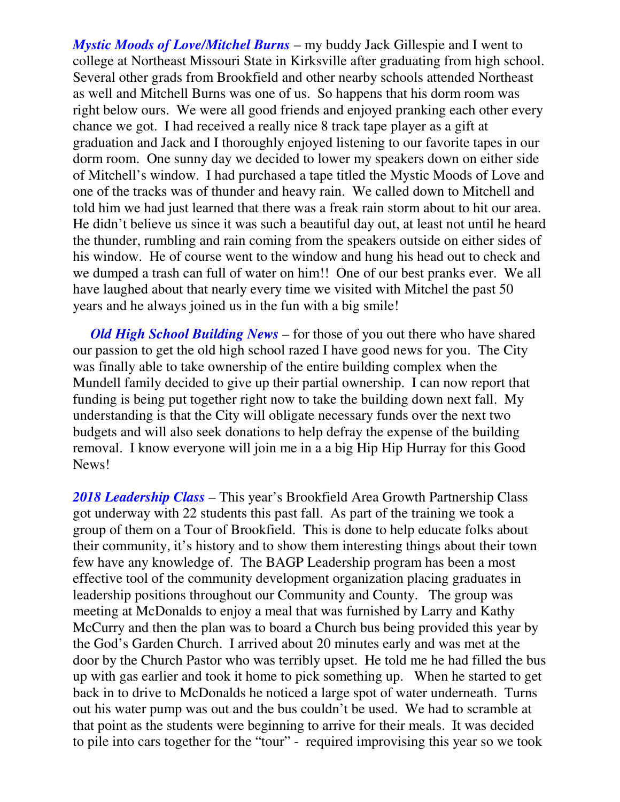*Mystic Moods of Love/Mitchel Burns* – my buddy Jack Gillespie and I went to college at Northeast Missouri State in Kirksville after graduating from high school. Several other grads from Brookfield and other nearby schools attended Northeast as well and Mitchell Burns was one of us. So happens that his dorm room was right below ours. We were all good friends and enjoyed pranking each other every chance we got. I had received a really nice 8 track tape player as a gift at graduation and Jack and I thoroughly enjoyed listening to our favorite tapes in our dorm room. One sunny day we decided to lower my speakers down on either side of Mitchell's window. I had purchased a tape titled the Mystic Moods of Love and one of the tracks was of thunder and heavy rain. We called down to Mitchell and told him we had just learned that there was a freak rain storm about to hit our area. He didn't believe us since it was such a beautiful day out, at least not until he heard the thunder, rumbling and rain coming from the speakers outside on either sides of his window. He of course went to the window and hung his head out to check and we dumped a trash can full of water on him!! One of our best pranks ever. We all have laughed about that nearly every time we visited with Mitchel the past 50 years and he always joined us in the fun with a big smile!

 *Old High School Building News* – for those of you out there who have shared our passion to get the old high school razed I have good news for you. The City was finally able to take ownership of the entire building complex when the Mundell family decided to give up their partial ownership. I can now report that funding is being put together right now to take the building down next fall. My understanding is that the City will obligate necessary funds over the next two budgets and will also seek donations to help defray the expense of the building removal. I know everyone will join me in a a big Hip Hip Hurray for this Good News!

*2018 Leadership Class* – This year's Brookfield Area Growth Partnership Class got underway with 22 students this past fall. As part of the training we took a group of them on a Tour of Brookfield. This is done to help educate folks about their community, it's history and to show them interesting things about their town few have any knowledge of. The BAGP Leadership program has been a most effective tool of the community development organization placing graduates in leadership positions throughout our Community and County. The group was meeting at McDonalds to enjoy a meal that was furnished by Larry and Kathy McCurry and then the plan was to board a Church bus being provided this year by the God's Garden Church. I arrived about 20 minutes early and was met at the door by the Church Pastor who was terribly upset. He told me he had filled the bus up with gas earlier and took it home to pick something up. When he started to get back in to drive to McDonalds he noticed a large spot of water underneath. Turns out his water pump was out and the bus couldn't be used. We had to scramble at that point as the students were beginning to arrive for their meals. It was decided to pile into cars together for the "tour" - required improvising this year so we took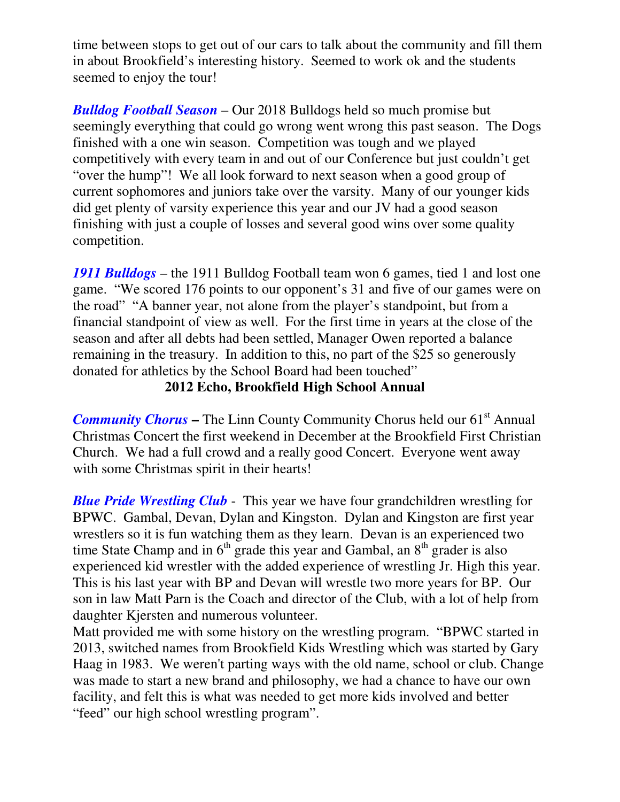time between stops to get out of our cars to talk about the community and fill them in about Brookfield's interesting history. Seemed to work ok and the students seemed to enjoy the tour!

*Bulldog Football Season* – Our 2018 Bulldogs held so much promise but seemingly everything that could go wrong went wrong this past season. The Dogs finished with a one win season. Competition was tough and we played competitively with every team in and out of our Conference but just couldn't get "over the hump"! We all look forward to next season when a good group of current sophomores and juniors take over the varsity. Many of our younger kids did get plenty of varsity experience this year and our JV had a good season finishing with just a couple of losses and several good wins over some quality competition.

*1911 Bulldogs* – the 1911 Bulldog Football team won 6 games, tied 1 and lost one game. "We scored 176 points to our opponent's 31 and five of our games were on the road" "A banner year, not alone from the player's standpoint, but from a financial standpoint of view as well. For the first time in years at the close of the season and after all debts had been settled, Manager Owen reported a balance remaining in the treasury. In addition to this, no part of the \$25 so generously donated for athletics by the School Board had been touched"

## **2012 Echo, Brookfield High School Annual**

**Community Chorus – The Linn County Community Chorus held our 61<sup>st</sup> Annual** Christmas Concert the first weekend in December at the Brookfield First Christian Church. We had a full crowd and a really good Concert. Everyone went away with some Christmas spirit in their hearts!

*Blue Pride Wrestling Club* - This year we have four grandchildren wrestling for BPWC. Gambal, Devan, Dylan and Kingston. Dylan and Kingston are first year wrestlers so it is fun watching them as they learn. Devan is an experienced two time State Champ and in  $6<sup>th</sup>$  grade this year and Gambal, an  $8<sup>th</sup>$  grader is also experienced kid wrestler with the added experience of wrestling Jr. High this year. This is his last year with BP and Devan will wrestle two more years for BP. Our son in law Matt Parn is the Coach and director of the Club, with a lot of help from daughter Kjersten and numerous volunteer.

Matt provided me with some history on the wrestling program. "BPWC started in 2013, switched names from Brookfield Kids Wrestling which was started by Gary Haag in 1983. We weren't parting ways with the old name, school or club. Change was made to start a new brand and philosophy, we had a chance to have our own facility, and felt this is what was needed to get more kids involved and better "feed" our high school wrestling program".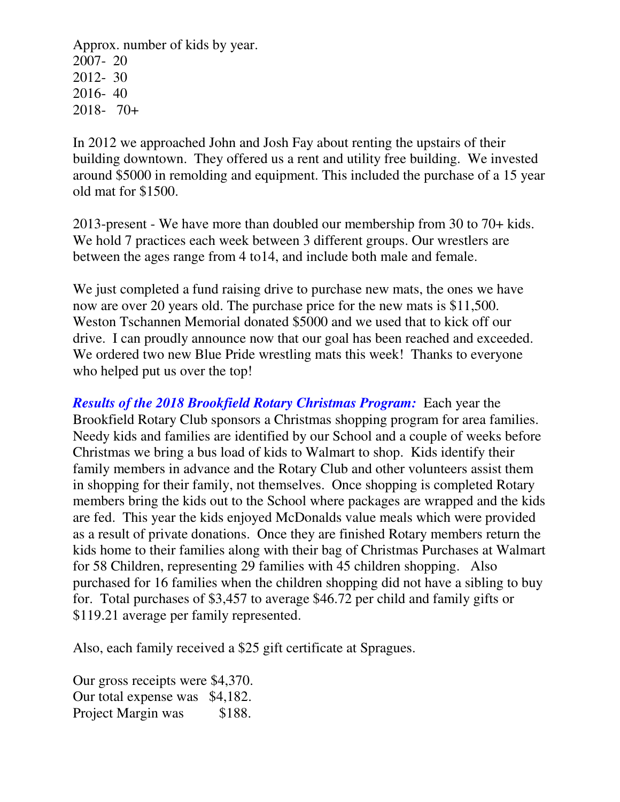Approx. number of kids by year. 2007- 20 2012- 30 2016- 40 2018- 70+

In 2012 we approached John and Josh Fay about renting the upstairs of their building downtown. They offered us a rent and utility free building. We invested around \$5000 in remolding and equipment. This included the purchase of a 15 year old mat for \$1500.

2013-present - We have more than doubled our membership from 30 to 70+ kids. We hold 7 practices each week between 3 different groups. Our wrestlers are between the ages range from 4 to14, and include both male and female.

We just completed a fund raising drive to purchase new mats, the ones we have now are over 20 years old. The purchase price for the new mats is \$11,500. Weston Tschannen Memorial donated \$5000 and we used that to kick off our drive. I can proudly announce now that our goal has been reached and exceeded. We ordered two new Blue Pride wrestling mats this week! Thanks to everyone who helped put us over the top!

*Results of the 2018 Brookfield Rotary Christmas Program:* Each year the Brookfield Rotary Club sponsors a Christmas shopping program for area families. Needy kids and families are identified by our School and a couple of weeks before Christmas we bring a bus load of kids to Walmart to shop. Kids identify their family members in advance and the Rotary Club and other volunteers assist them in shopping for their family, not themselves. Once shopping is completed Rotary members bring the kids out to the School where packages are wrapped and the kids are fed. This year the kids enjoyed McDonalds value meals which were provided as a result of private donations. Once they are finished Rotary members return the kids home to their families along with their bag of Christmas Purchases at Walmart for 58 Children, representing 29 families with 45 children shopping. Also purchased for 16 families when the children shopping did not have a sibling to buy for. Total purchases of \$3,457 to average \$46.72 per child and family gifts or \$119.21 average per family represented.

Also, each family received a \$25 gift certificate at Spragues.

Our gross receipts were \$4,370. Our total expense was \$4,182. Project Margin was \$188.